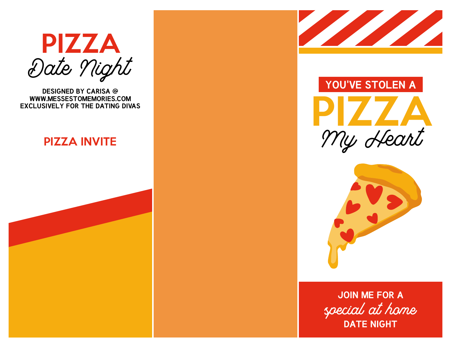

**DESIGNED BY CARISA @ WWW.MESSESTOMEMORIES.COM EXCLUSIVELY FOR THE DATING DIVAS**

#### PIZZA INVITE









special at home **JOIN ME FOR A DATE NIGHT**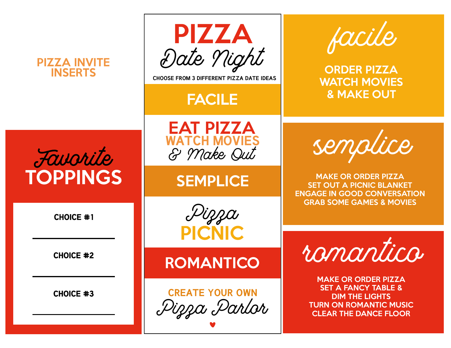| <b>PIZZA INVITE</b><br><b>INSERTS</b> | PIZZA<br>Date Night<br><b>CHOOSE FROM 3 DIFFERENT PIZZA DATE IDEAS</b><br><b>FACILE</b> | facile<br><b>ORDER PIZZA</b><br><b>WATCH MOVIES</b><br><b>&amp; MAKE OUT</b>                                                                           |
|---------------------------------------|-----------------------------------------------------------------------------------------|--------------------------------------------------------------------------------------------------------------------------------------------------------|
| Favorite<br><b>TOPPINGS</b>           | <b>EAT PIZZA</b><br><b>WATCH MOVIES</b><br>& Make Qut<br><b>SEMPLICE</b>                | semplice<br><b>MAKE OR ORDER PIZZA</b><br><b>SET OUT A PICNIC BLANKET</b><br><b>ENGAGE IN GOOD CONVERSATION</b>                                        |
| <b>CHOICE #1</b>                      | Dizza<br><b>PICNIC</b>                                                                  | <b>GRAB SOME GAMES &amp; MOVIES</b>                                                                                                                    |
| <b>CHOICE #2</b>                      | <b>ROMANTICO</b>                                                                        | romantico                                                                                                                                              |
| <b>CHOICE #3</b>                      | <b>CREATE YOUR OWN</b><br>Pizza Parlor                                                  | <b>MAKE OR ORDER PIZZA</b><br><b>SET A FANCY TABLE &amp;</b><br><b>DIM THE LIGHTS</b><br><b>TURN ON ROMANTIC MUSIC</b><br><b>CLEAR THE DANCE FLOOR</b> |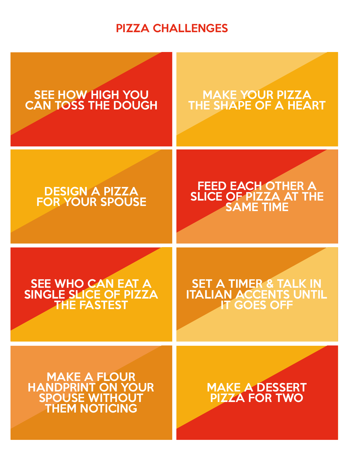## PIZZA CHALLENGES

# SEE HOW HIGH YOU CAN TOSS THE DOUGH MAKE YOUR PIZZA THE SHAPE OF A HEART DESIGN A PIZZA FOR YOUR SPOUSE FEED EACH OTHER A SLICE OF PIZZA AT THE SAME TIME SEE WHO CAN EAT A SINGLE SLICE OF PIZZA THE FASTEST MAKE A FLOUR HANDPRINT ON YOUR SPOUSE WITHOUT THEM NOTICING SET A TIMER & TALK IN ITALIAN ACCENTS UNTIL **IT GOES OFF** MAKE A DESSERT PIZZA FOR TWO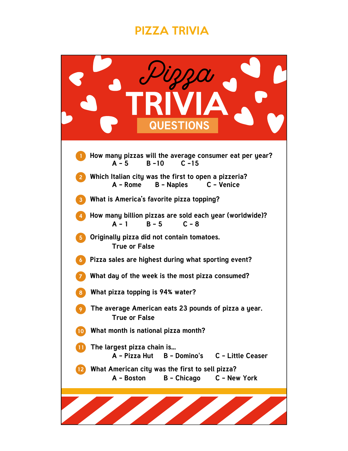## PIZZA TRIVIA